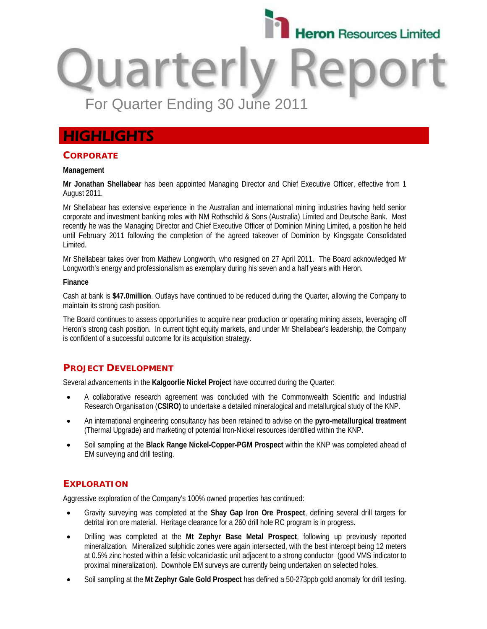

# Quarterly **Rel** For Quarter Ending 30 June 2011

# **HIGHLIGHTS**

#### **CORPORATE**

#### **Management**

**Mr Jonathan Shellabear** has been appointed Managing Director and Chief Executive Officer, effective from 1 August 2011.

Mr Shellabear has extensive experience in the Australian and international mining industries having held senior corporate and investment banking roles with NM Rothschild & Sons (Australia) Limited and Deutsche Bank. Most recently he was the Managing Director and Chief Executive Officer of Dominion Mining Limited, a position he held until February 2011 following the completion of the agreed takeover of Dominion by Kingsgate Consolidated Limited.

Mr Shellabear takes over from Mathew Longworth, who resigned on 27 April 2011. The Board acknowledged Mr Longworth's energy and professionalism as exemplary during his seven and a half years with Heron.

#### **Finance**

Cash at bank is **\$47.0million**. Outlays have continued to be reduced during the Quarter, allowing the Company to maintain its strong cash position.

The Board continues to assess opportunities to acquire near production or operating mining assets, leveraging off Heron's strong cash position. In current tight equity markets, and under Mr Shellabear's leadership, the Company is confident of a successful outcome for its acquisition strategy.

# **PROJECT DEVELOPMENT**

Several advancements in the **Kalgoorlie Nickel Project** have occurred during the Quarter:

- A collaborative research agreement was concluded with the Commonwealth Scientific and Industrial Research Organisation (**CSIRO)** to undertake a detailed mineralogical and metallurgical study of the KNP.
- An international engineering consultancy has been retained to advise on the **pyro-metallurgical treatment** (Thermal Upgrade) and marketing of potential Iron-Nickel resources identified within the KNP.
- Soil sampling at the **Black Range Nickel-Copper-PGM Prospect** within the KNP was completed ahead of EM surveying and drill testing.

# **EXPLORATION**

Aggressive exploration of the Company's 100% owned properties has continued:

- Gravity surveying was completed at the **Shay Gap Iron Ore Prospect**, defining several drill targets for detrital iron ore material. Heritage clearance for a 260 drill hole RC program is in progress.
- Drilling was completed at the **Mt Zephyr Base Metal Prospect**, following up previously reported mineralization. Mineralized sulphidic zones were again intersected, with the best intercept being 12 meters at 0.5% zinc hosted within a felsic volcaniclastic unit adjacent to a strong conductor (good VMS indicator to proximal mineralization). Downhole EM surveys are currently being undertaken on selected holes.
- Soil sampling at the **Mt Zephyr Gale Gold Prospect** has defined a 50-273ppb gold anomaly for drill testing.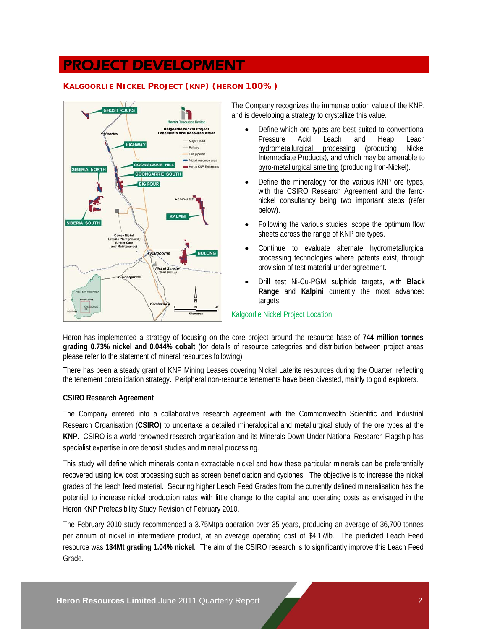# PROJECT DEVELOPMENT

### **KALGOORLIE NICKEL PROJECT (KNP) (HERON 100%)**



The Company recognizes the immense option value of the KNP, and is developing a strategy to crystallize this value.

- Define which ore types are best suited to conventional Pressure Acid Leach and Heap Leach hydrometallurgical processing (producing Nickel Intermediate Products), and which may be amenable to pyro-metallurgical smelting (producing Iron-Nickel).
- Define the mineralogy for the various KNP ore types, with the CSIRO Research Agreement and the ferronickel consultancy being two important steps (refer below).
- Following the various studies, scope the optimum flow sheets across the range of KNP ore types.
- Continue to evaluate alternate hydrometallurgical processing technologies where patents exist, through provision of test material under agreement.
- Drill test Ni-Cu-PGM sulphide targets, with **Black Range** and **Kalpini** currently the most advanced targets.

Kalgoorlie Nickel Project Location

Heron has implemented a strategy of focusing on the core project around the resource base of **744 million tonnes grading 0.73% nickel and 0.044% cobalt** (for details of resource categories and distribution between project areas please refer to the statement of mineral resources following).

There has been a steady grant of KNP Mining Leases covering Nickel Laterite resources during the Quarter, reflecting the tenement consolidation strategy. Peripheral non-resource tenements have been divested, mainly to gold explorers.

#### **CSIRO Research Agreement**

The Company entered into a collaborative research agreement with the Commonwealth Scientific and Industrial Research Organisation (**CSIRO)** to undertake a detailed mineralogical and metallurgical study of the ore types at the **KNP**. CSIRO is a world-renowned research organisation and its Minerals Down Under National Research Flagship has specialist expertise in ore deposit studies and mineral processing.

This study will define which minerals contain extractable nickel and how these particular minerals can be preferentially recovered using low cost processing such as screen beneficiation and cyclones. The objective is to increase the nickel grades of the leach feed material. Securing higher Leach Feed Grades from the currently defined mineralisation has the potential to increase nickel production rates with little change to the capital and operating costs as envisaged in the Heron KNP Prefeasibility Study Revision of February 2010.

The February 2010 study recommended a 3.75Mtpa operation over 35 years, producing an average of 36,700 tonnes per annum of nickel in intermediate product, at an average operating cost of \$4.17/lb. The predicted Leach Feed resource was **134Mt grading 1.04% nickel**. The aim of the CSIRO research is to significantly improve this Leach Feed Grade.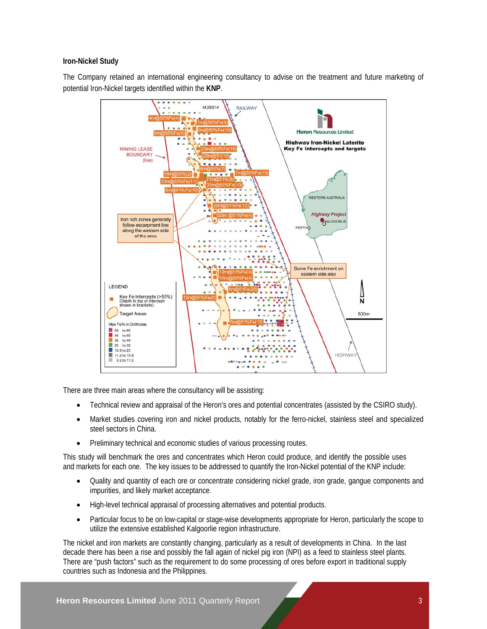#### **Iron-Nickel Study**

The Company retained an international engineering consultancy to advise on the treatment and future marketing of potential Iron-Nickel targets identified within the **KNP**.



There are three main areas where the consultancy will be assisting:

- Technical review and appraisal of the Heron's ores and potential concentrates (assisted by the CSIRO study).
- Market studies covering iron and nickel products, notably for the ferro-nickel, stainless steel and specialized steel sectors in China.
- Preliminary technical and economic studies of various processing routes.

This study will benchmark the ores and concentrates which Heron could produce, and identify the possible uses and markets for each one. The key issues to be addressed to quantify the Iron-Nickel potential of the KNP include:

- Quality and quantity of each ore or concentrate considering nickel grade, iron grade, gangue components and impurities, and likely market acceptance.
- High-level technical appraisal of processing alternatives and potential products.
- Particular focus to be on low-capital or stage-wise developments appropriate for Heron, particularly the scope to utilize the extensive established Kalgoorlie region infrastructure.

The nickel and iron markets are constantly changing, particularly as a result of developments in China. In the last decade there has been a rise and possibly the fall again of nickel pig iron (NPI) as a feed to stainless steel plants. There are "push factors" such as the requirement to do some processing of ores before export in traditional supply countries such as Indonesia and the Philippines.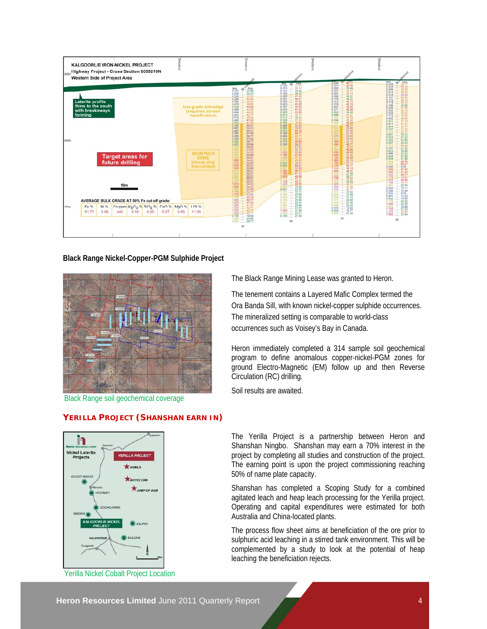

**Black Range Nickel-Copper-PGM Sulphide Project**



Black Range soil geochemical coverage

**YERILLA PROJECT (SHANSHAN EARN IN)**



Yerilla Nickel Cobalt Project Location

The Black Range Mining Lease was granted to Heron.

The tenement contains a Layered Mafic Complex termed the Ora Banda Sill, with known nickel-copper sulphide occurrences. The mineralized setting is comparable to world-class occurrences such as Voisey's Bay in Canada.

Heron immediately completed a 314 sample soil geochemical program to define anomalous copper-nickel-PGM zones for ground Electro-Magnetic (EM) follow up and then Reverse Circulation (RC) drilling.

Soil results are awaited.

The Yerilla Project is a partnership between Heron and Shanshan Ningbo. Shanshan may earn a 70% interest in the project by completing all studies and construction of the project. The earning point is upon the project commissioning reaching 50% of name plate capacity.

Shanshan has completed a Scoping Study for a combined agitated leach and heap leach processing for the Yerilla project. Operating and capital expenditures were estimated for both Australia and China-located plants.

The process flow sheet aims at beneficiation of the ore prior to sulphuric acid leaching in a stirred tank environment. This will be complemented by a study to look at the potential of heap leaching the beneficiation rejects.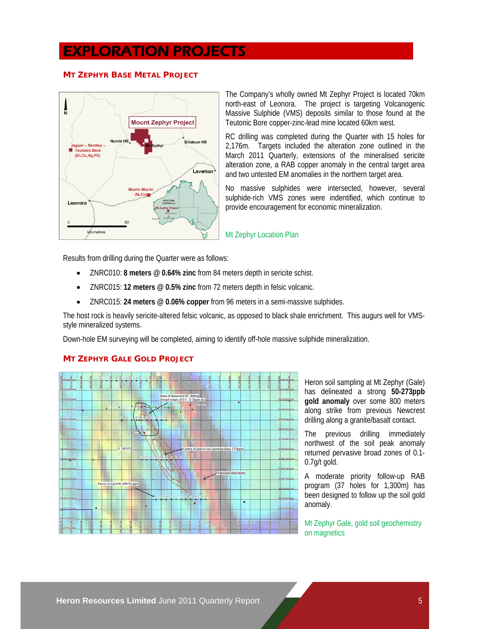# EXPLORATION PROJECTS

#### **MT ZEPHYR BASE METAL PROJECT**



The Company's wholly owned Mt Zephyr Project is located 70km north-east of Leonora. The project is targeting Volcanogenic Massive Sulphide (VMS) deposits similar to those found at the Teutonic Bore copper-zinc-lead mine located 60km west.

RC drilling was completed during the Quarter with 15 holes for 2,176m. Targets included the alteration zone outlined in the March 2011 Quarterly, extensions of the mineralised sericite alteration zone, a RAB copper anomaly in the central target area and two untested EM anomalies in the northern target area.

No massive sulphides were intersected, however, several sulphide-rich VMS zones were indentified, which continue to provide encouragement for economic mineralization.

Mt Zephyr Location Plan

Results from drilling during the Quarter were as follows:

- ZNRC010: **8 meters @ 0.64% zinc** from 84 meters depth in sericite schist.
- ZNRC015: **12 meters @ 0.5% zinc** from 72 meters depth in felsic volcanic.
- ZNRC015: **24 meters @ 0.06% copper** from 96 meters in a semi-massive sulphides.

The host rock is heavily sericite-altered felsic volcanic, as opposed to black shale enrichment. This augurs well for VMSstyle mineralized systems.

Down-hole EM surveying will be completed, aiming to identify off-hole massive sulphide mineralization.

#### **MT ZEPHYR GALE GOLD PROJECT**



Heron soil sampling at Mt Zephyr (Gale) has delineated a strong **50-273ppb gold anomaly** over some 800 meters along strike from previous Newcrest drilling along a granite/basalt contact.

The previous drilling immediately northwest of the soil peak anomaly returned pervasive broad zones of 0.1- 0.7g/t gold.

A moderate priority follow-up RAB program (37 holes for 1,300m) has been designed to follow up the soil gold anomaly.

Mt Zephyr Gale, gold soil geochemistry on magnetics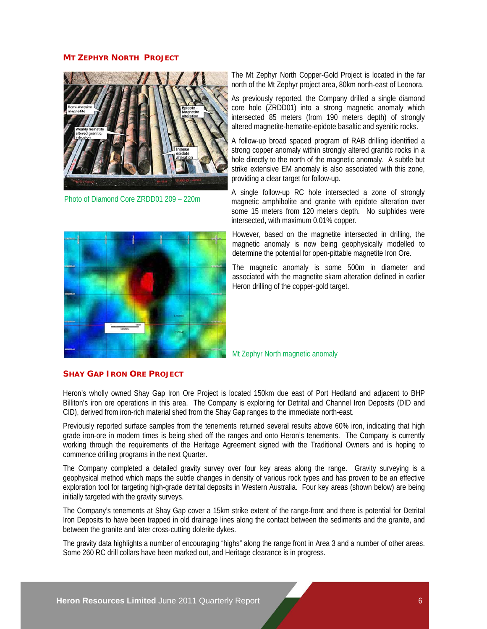#### **MT ZEPHYR NORTH PROJECT**



Photo of Diamond Core ZRDD01 209 – 220m

The Mt Zephyr North Copper-Gold Project is located in the far north of the Mt Zephyr project area, 80km north-east of Leonora.

As previously reported, the Company drilled a single diamond core hole (ZRDD01) into a strong magnetic anomaly which intersected 85 meters (from 190 meters depth) of strongly altered magnetite-hematite-epidote basaltic and syenitic rocks.

A follow-up broad spaced program of RAB drilling identified a strong copper anomaly within strongly altered granitic rocks in a hole directly to the north of the magnetic anomaly. A subtle but strike extensive EM anomaly is also associated with this zone, providing a clear target for follow-up.

A single follow-up RC hole intersected a zone of strongly magnetic amphibolite and granite with epidote alteration over some 15 meters from 120 meters depth. No sulphides were intersected, with maximum 0.01% copper.

However, based on the magnetite intersected in drilling, the magnetic anomaly is now being geophysically modelled to determine the potential for open-pittable magnetite Iron Ore.

The magnetic anomaly is some 500m in diameter and associated with the magnetite skarn alteration defined in earlier Heron drilling of the copper-gold target.

Mt Zephyr North magnetic anomaly

#### **SHAY GAP IRON ORE PROJECT**

Heron's wholly owned Shay Gap Iron Ore Project is located 150km due east of Port Hedland and adjacent to BHP Billiton's iron ore operations in this area. The Company is exploring for Detrital and Channel Iron Deposits (DID and CID), derived from iron-rich material shed from the Shay Gap ranges to the immediate north-east.

Previously reported surface samples from the tenements returned several results above 60% iron, indicating that high grade iron-ore in modern times is being shed off the ranges and onto Heron's tenements. The Company is currently working through the requirements of the Heritage Agreement signed with the Traditional Owners and is hoping to commence drilling programs in the next Quarter.

The Company completed a detailed gravity survey over four key areas along the range. Gravity surveying is a geophysical method which maps the subtle changes in density of various rock types and has proven to be an effective exploration tool for targeting high-grade detrital deposits in Western Australia. Four key areas (shown below) are being initially targeted with the gravity surveys.

The Company's tenements at Shay Gap cover a 15km strike extent of the range-front and there is potential for Detrital Iron Deposits to have been trapped in old drainage lines along the contact between the sediments and the granite, and between the granite and later cross-cutting dolerite dykes.

The gravity data highlights a number of encouraging "highs" along the range front in Area 3 and a number of other areas. Some 260 RC drill collars have been marked out, and Heritage clearance is in progress.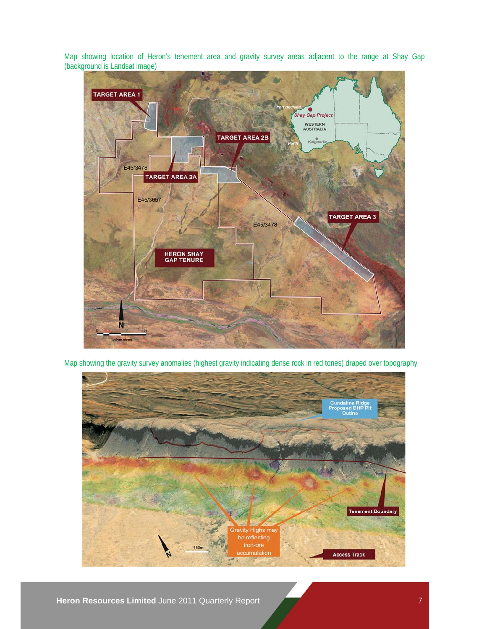Map showing location of Heron's tenement area and gravity survey areas adjacent to the range at Shay Gap (background is Landsat image)



Map showing the gravity survey anomalies (highest gravity indicating dense rock in red tones) draped over topography



**Heron Resources Limited** June 2011 Quarterly Report 7 **7**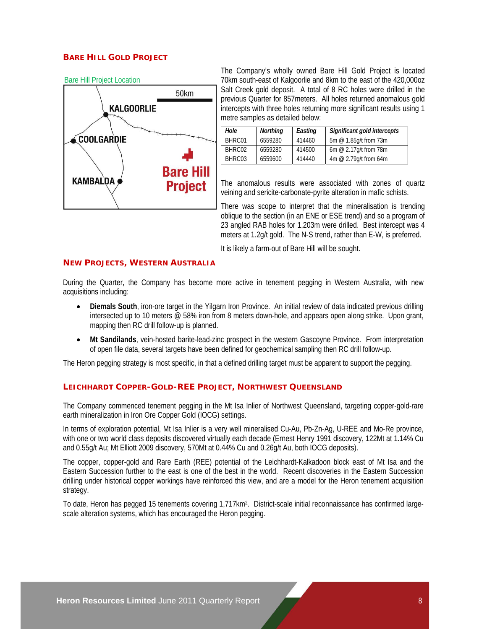#### **BARE HILL GOLD PROJECT**



The Company's wholly owned Bare Hill Gold Project is located 70km south-east of Kalgoorlie and 8km to the east of the 420,000oz Salt Creek gold deposit. A total of 8 RC holes were drilled in the previous Quarter for 857meters. All holes returned anomalous gold intercepts with three holes returning more significant results using 1 metre samples as detailed below:

| Hole   | <b>Northing</b> | Easting | Significant gold intercepts |
|--------|-----------------|---------|-----------------------------|
| BHRC01 | 6559280         | 414460  | 5m @ 1.85g/t from 73m       |
| BHRC02 | 6559280         | 414500  | 6m $@$ 2.17g/t from 78m     |
| BHRC03 | 6559600         | 414440  | 4m @ 2.79g/t from 64m       |

The anomalous results were associated with zones of quartz veining and sericite-carbonate-pyrite alteration in mafic schists.

There was scope to interpret that the mineralisation is trending oblique to the section (in an ENE or ESE trend) and so a program of 23 angled RAB holes for 1,203m were drilled. Best intercept was 4 meters at 1.2g/t gold. The N-S trend, rather than E-W, is preferred.

It is likely a farm-out of Bare Hill will be sought.

#### **NEW PROJECTS, WESTERN AUSTRALIA**

During the Quarter, the Company has become more active in tenement pegging in Western Australia, with new acquisitions including:

- **Diemals South**, iron-ore target in the Yilgarn Iron Province. An initial review of data indicated previous drilling intersected up to 10 meters @ 58% iron from 8 meters down-hole, and appears open along strike. Upon grant, mapping then RC drill follow-up is planned.
- **Mt Sandilands**, vein-hosted barite-lead-zinc prospect in the western Gascoyne Province. From interpretation of open file data, several targets have been defined for geochemical sampling then RC drill follow-up.

The Heron pegging strategy is most specific, in that a defined drilling target must be apparent to support the pegging.

#### **LEICHHARDT COPPER-GOLD-REE PROJECT, NORTHWEST QUEENSLAND**

The Company commenced tenement pegging in the Mt Isa Inlier of Northwest Queensland, targeting copper-gold-rare earth mineralization in Iron Ore Copper Gold (IOCG) settings.

In terms of exploration potential, Mt Isa Inlier is a very well mineralised Cu-Au, Pb-Zn-Ag, U-REE and Mo-Re province, with one or two world class deposits discovered virtually each decade (Ernest Henry 1991 discovery, 122Mt at 1.14% Cu and 0.55g/t Au; Mt Elliott 2009 discovery, 570Mt at 0.44% Cu and 0.26g/t Au, both IOCG deposits).

The copper, copper-gold and Rare Earth (REE) potential of the Leichhardt-Kalkadoon block east of Mt Isa and the Eastern Succession further to the east is one of the best in the world. Recent discoveries in the Eastern Succession drilling under historical copper workings have reinforced this view, and are a model for the Heron tenement acquisition strategy.

To date, Heron has pegged 15 tenements covering 1,717km2. District-scale initial reconnaissance has confirmed largescale alteration systems, which has encouraged the Heron pegging.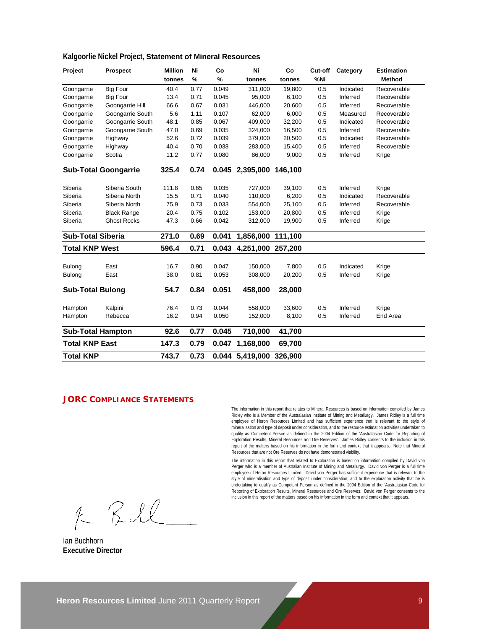#### **Kalgoorlie Nickel Project, Statement of Mineral Resources**

| Project                  | <b>Prospect</b>             | <b>Million</b> | Ni   | Co    | Ni              | Co      | Cut-off | Category  | <b>Estimation</b> |
|--------------------------|-----------------------------|----------------|------|-------|-----------------|---------|---------|-----------|-------------------|
|                          |                             | tonnes         | %    | %     | tonnes          | tonnes  | %Ni     |           | Method            |
| Goongarrie               | <b>Big Four</b>             | 40.4           | 0.77 | 0.049 | 311,000         | 19,800  | 0.5     | Indicated | Recoverable       |
| Goongarrie               | <b>Big Four</b>             | 13.4           | 0.71 | 0.045 | 95,000          | 6,100   | 0.5     | Inferred  | Recoverable       |
| Goongarrie               | Goongarrie Hill             | 66.6           | 0.67 | 0.031 | 446,000         | 20,600  | 0.5     | Inferred  | Recoverable       |
| Goongarrie               | Goongarrie South            | 5.6            | 1.11 | 0.107 | 62,000          | 6,000   | 0.5     | Measured  | Recoverable       |
| Goongarrie               | Goongarrie South            | 48.1           | 0.85 | 0.067 | 409,000         | 32,200  | 0.5     | Indicated | Recoverable       |
| Goongarrie               | Goongarrie South            | 47.0           | 0.69 | 0.035 | 324,000         | 16,500  | 0.5     | Inferred  | Recoverable       |
| Goongarrie               | Highway                     | 52.6           | 0.72 | 0.039 | 379,000         | 20,500  | 0.5     | Indicated | Recoverable       |
| Goongarrie               | Highway                     | 40.4           | 0.70 | 0.038 | 283,000         | 15,400  | 0.5     | Inferred  | Recoverable       |
| Goongarrie               | Scotia                      | 11.2           | 0.77 | 0.080 | 86,000          | 9,000   | 0.5     | Inferred  | Krige             |
|                          | <b>Sub-Total Goongarrie</b> | 325.4          | 0.74 | 0.045 | 2,395,000       | 146,100 |         |           |                   |
|                          |                             |                |      |       |                 |         |         |           |                   |
| Siberia                  | Siberia South               | 111.8          | 0.65 | 0.035 | 727,000         | 39,100  | 0.5     | Inferred  | Krige             |
| Siberia                  | Siberia North               | 15.5           | 0.71 | 0.040 | 110,000         | 6,200   | 0.5     | Indicated | Recoverable       |
| Siberia                  | Siberia North               | 75.9           | 0.73 | 0.033 | 554,000         | 25,100  | 0.5     | Inferred  | Recoverable       |
| Siberia                  | <b>Black Range</b>          | 20.4           | 0.75 | 0.102 | 153,000         | 20,800  | 0.5     | Inferred  | Krige             |
| Siberia                  | <b>Ghost Rocks</b>          | 47.3           | 0.66 | 0.042 | 312,000         | 19,900  | 0.5     | Inferred  | Krige             |
| <b>Sub-Total Siberia</b> |                             | 271.0          | 0.69 | 0.041 | 1,856,000       | 111,100 |         |           |                   |
| <b>Total KNP West</b>    |                             | 596.4          | 0.71 | 0.043 | 4,251,000       | 257,200 |         |           |                   |
|                          |                             |                |      |       |                 |         |         |           |                   |
| <b>Bulong</b>            | East                        | 16.7           | 0.90 | 0.047 | 150,000         | 7,800   | 0.5     | Indicated | Krige             |
| Bulong                   | East                        | 38.0           | 0.81 | 0.053 | 308,000         | 20,200  | 0.5     | Inferred  | Krige             |
| <b>Sub-Total Bulong</b>  |                             | 54.7           | 0.84 | 0.051 | 458,000         | 28,000  |         |           |                   |
|                          |                             |                |      |       |                 |         |         |           |                   |
| Hampton                  | Kalpini                     | 76.4           | 0.73 | 0.044 | 558,000         | 33,600  | 0.5     | Inferred  | Krige             |
| Hampton                  | Rebecca                     | 16.2           | 0.94 | 0.050 | 152,000         | 8,100   | 0.5     | Inferred  | End Area          |
| <b>Sub-Total Hampton</b> |                             | 92.6           | 0.77 | 0.045 | 710,000         | 41,700  |         |           |                   |
| <b>Total KNP East</b>    |                             | 147.3          | 0.79 | 0.047 | 1,168,000       | 69,700  |         |           |                   |
| <b>Total KNP</b>         |                             | 743.7          | 0.73 |       | 0.044 5,419,000 | 326,900 |         |           |                   |

#### **JORC COMPLIANCE STATEMENTS**

The information in this report that relates to Mineral Resources is based on information compiled by James Ridley who is a Member of the Australasian Institute of Mining and Metallurgy. James Ridley is a full time employee of Heron Resources Limited and has sufficient experience that is relevant to the style of mineralisation and type of deposit under consideration, and to the resource estimation activities undertaken to qualify as Competent Person as defined in the 2004 Edition of the 'Australasian Code for Reporting of Exploration Results, Mineral Resources and Ore Reserves'. James Ridley consents to the inclusion in this report of the matters based on his information in the form and context that it appears. Note that Mineral Resources that are not Ore Reserves do not have demonstrated viability.

The information in this report that related to Exploration is based on information compiled by David von<br>Perger who is a member of Australian Institute of Mining and Metallurgy. David von Perger is a full time<br>employee of style of mineralisation and type of deposit under consideration, and to the exploration activity that he is undertaking to qualify as Competent Person as defined in the 2004 Edition of the 'Australasian Code for Reporting of Exploration Results, Mineral Resources and Ore Reserves. David von Perger consents to the inclusion in this report of the matters based on his information in the form and context that it appears.

 $f RIL$ 

Ian Buchhorn **Executive Director**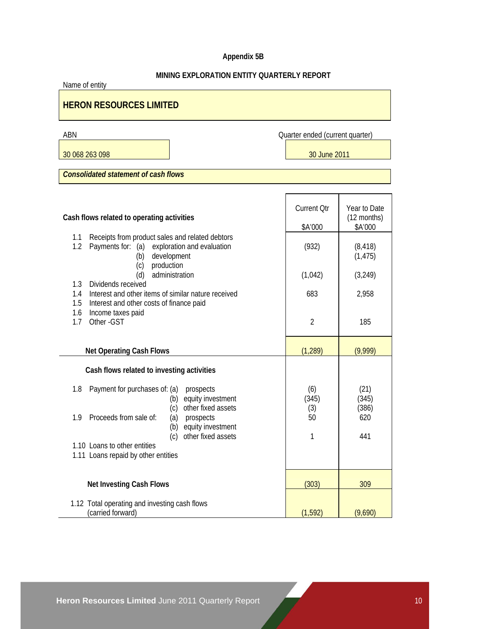# **Appendix 5B**

| MINING EXPLORATION ENTITY QUARTERLY REPORT<br>Name of entity                                                                               |                                 |                                        |  |  |  |
|--------------------------------------------------------------------------------------------------------------------------------------------|---------------------------------|----------------------------------------|--|--|--|
| <b>HERON RESOURCES LIMITED</b>                                                                                                             |                                 |                                        |  |  |  |
| ABN                                                                                                                                        | Quarter ended (current quarter) |                                        |  |  |  |
| 30 068 263 098                                                                                                                             | 30 June 2011                    |                                        |  |  |  |
| <b>Consolidated statement of cash flows</b>                                                                                                |                                 |                                        |  |  |  |
|                                                                                                                                            |                                 |                                        |  |  |  |
| Cash flows related to operating activities                                                                                                 | <b>Current Qtr</b><br>\$A'000   | Year to Date<br>(12 months)<br>\$A'000 |  |  |  |
| Receipts from product sales and related debtors<br>1.1<br>1.2<br>Payments for: (a) exploration and evaluation<br>development<br>(b)        | (932)                           | (8, 418)<br>(1, 475)                   |  |  |  |
| production<br>(c)<br>administration<br>(d)                                                                                                 | (1,042)                         | (3, 249)                               |  |  |  |
| Dividends received<br>1.3<br>Interest and other items of similar nature received<br>1.4<br>1.5<br>Interest and other costs of finance paid | 683                             | 2,958                                  |  |  |  |
| Income taxes paid<br>1.6<br>Other - GST<br>1.7                                                                                             | $\overline{2}$                  | 185                                    |  |  |  |
| <b>Net Operating Cash Flows</b>                                                                                                            | (1, 289)                        | (9,999)                                |  |  |  |
| Cash flows related to investing activities                                                                                                 |                                 |                                        |  |  |  |
| 1.8<br>Payment for purchases of: (a)<br>prospects<br>equity investment<br>(b)<br>other fixed assets<br>(c)                                 | (6)<br>(345)<br>(3)             | (21)<br>(345)<br>(386)                 |  |  |  |
| Proceeds from sale of:<br>1.9<br>(a)<br>prospects<br>(b) equity investment<br>(c) other fixed assets                                       | 50<br>1                         | 620<br>441                             |  |  |  |
| 1.10 Loans to other entities<br>1.11 Loans repaid by other entities                                                                        |                                 |                                        |  |  |  |
| <b>Net Investing Cash Flows</b>                                                                                                            | (303)                           | 309                                    |  |  |  |
| 1.12 Total operating and investing cash flows<br>(carried forward)                                                                         | (1, 592)                        | (9,690)                                |  |  |  |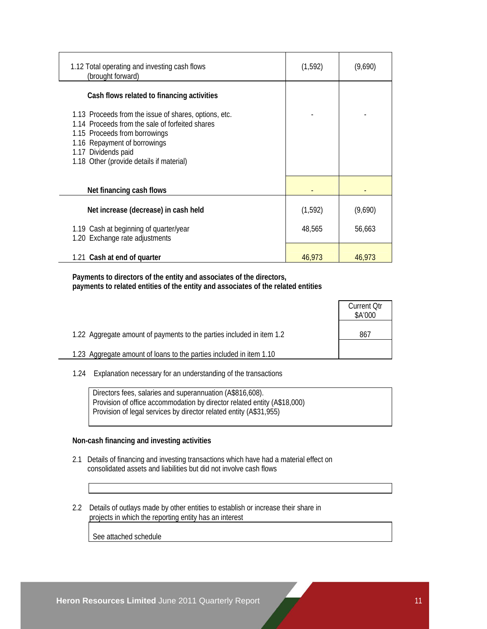| 1.12 Total operating and investing cash flows<br>(brought forward)                                                                                                                                                                           | (1, 592) | (9,690) |
|----------------------------------------------------------------------------------------------------------------------------------------------------------------------------------------------------------------------------------------------|----------|---------|
| Cash flows related to financing activities                                                                                                                                                                                                   |          |         |
| 1.13 Proceeds from the issue of shares, options, etc.<br>1.14 Proceeds from the sale of forfeited shares<br>1.15 Proceeds from borrowings<br>1.16 Repayment of borrowings<br>1.17 Dividends paid<br>1.18 Other (provide details if material) |          |         |
| Net financing cash flows                                                                                                                                                                                                                     |          |         |
| Net increase (decrease) in cash held                                                                                                                                                                                                         | (1, 592) | (9,690) |
| 1.19 Cash at beginning of quarter/year<br>1.20 Exchange rate adjustments                                                                                                                                                                     | 48,565   | 56,663  |
| 1.21 Cash at end of quarter                                                                                                                                                                                                                  | 46,973   | 46,973  |

 **Payments to directors of the entity and associates of the directors, payments to related entities of the entity and associates of the related entities** 

|                                                                       | <b>Current Otr</b><br>\$A'000 |
|-----------------------------------------------------------------------|-------------------------------|
| 1.22 Aggregate amount of payments to the parties included in item 1.2 | 867                           |
| 1.23 Aggregate amount of loans to the parties included in item 1.10   |                               |

1.24 Explanation necessary for an understanding of the transactions

 Directors fees, salaries and superannuation (A\$816,608). Provision of office accommodation by director related entity (A\$18,000) Provision of legal services by director related entity (A\$31,955)

#### **Non-cash financing and investing activities**

- 2.1 Details of financing and investing transactions which have had a material effect on consolidated assets and liabilities but did not involve cash flows
- 2.2 Details of outlays made by other entities to establish or increase their share in projects in which the reporting entity has an interest

See attached schedule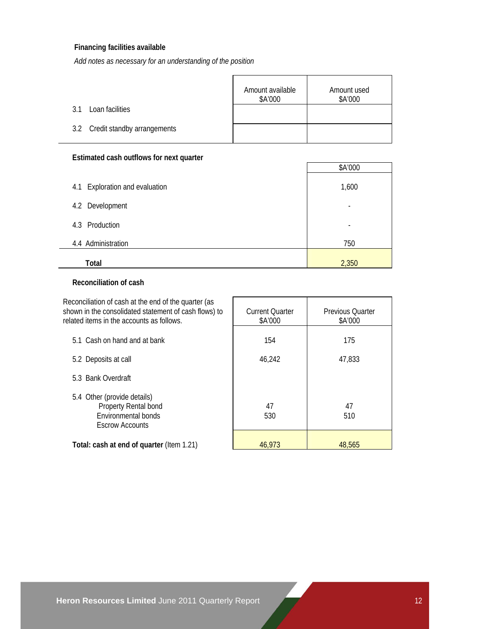### **Financing facilities available**

*Add notes as necessary for an understanding of the position*

|                                 | Amount available<br>\$A'000 | Amount used<br>\$A'000 |
|---------------------------------|-----------------------------|------------------------|
| Loan facilities<br>31           |                             |                        |
| 3.2 Credit standby arrangements |                             |                        |

### **Estimated cash outflows for next quarter**

| \$A'000 |
|---------|
|         |
| 1,600   |
| ۰       |
| ۰       |
| 750     |
| 2,350   |
|         |

#### **Reconciliation of cash**

| Reconciliation of cash at the end of the quarter (as<br>shown in the consolidated statement of cash flows) to<br>related items in the accounts as follows. | <b>Current Quarter</b><br>\$A'000 | <b>Previous Quarter</b><br>\$A'000 |
|------------------------------------------------------------------------------------------------------------------------------------------------------------|-----------------------------------|------------------------------------|
| 5.1 Cash on hand and at bank                                                                                                                               | 154                               | 175                                |
| 5.2 Deposits at call                                                                                                                                       | 46,242                            | 47,833                             |
| 5.3 Bank Overdraft                                                                                                                                         |                                   |                                    |
| 5.4 Other (provide details)<br>Property Rental bond<br>Environmental bonds<br><b>Escrow Accounts</b>                                                       | 47<br>530                         | 47<br>510                          |
| Total: cash at end of quarter (Item 1.21)                                                                                                                  | 46.973                            | 48,565                             |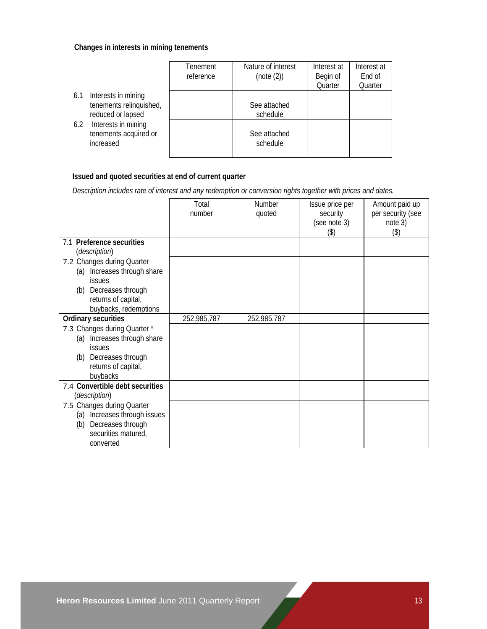#### **Changes in interests in mining tenements**

|                                                                            | Tenement<br>reference | Nature of interest<br>(note (2)) | Interest at<br>Begin of<br>Quarter | Interest at<br>End of<br>Quarter |
|----------------------------------------------------------------------------|-----------------------|----------------------------------|------------------------------------|----------------------------------|
| Interests in mining<br>6.1<br>tenements relinquished,<br>reduced or lapsed |                       | See attached<br>schedule         |                                    |                                  |
| Interests in mining<br>6.2<br>tenements acquired or<br>increased           |                       | See attached<br>schedule         |                                    |                                  |

# **Issued and quoted securities at end of current quarter**

 *Description includes rate of interest and any redemption or conversion rights together with prices and dates.* 

|                                 | Total       | Number      | Issue price per | Amount paid up    |
|---------------------------------|-------------|-------------|-----------------|-------------------|
|                                 | number      | quoted      | security        | per security (see |
|                                 |             |             | (see note 3)    | note 3)           |
|                                 |             |             | $($ \$)         | $($ \$)           |
| 7.1 Preference securities       |             |             |                 |                   |
| (description)                   |             |             |                 |                   |
| 7.2 Changes during Quarter      |             |             |                 |                   |
| Increases through share<br>(a)  |             |             |                 |                   |
| <b>issues</b>                   |             |             |                 |                   |
| (b) Decreases through           |             |             |                 |                   |
| returns of capital,             |             |             |                 |                   |
| buybacks, redemptions           |             |             |                 |                   |
| Ordinary securities             | 252,985,787 | 252,985,787 |                 |                   |
| 7.3 Changes during Quarter *    |             |             |                 |                   |
| Increases through share<br>(a)  |             |             |                 |                   |
| <i>issues</i>                   |             |             |                 |                   |
| Decreases through<br>(b)        |             |             |                 |                   |
| returns of capital,             |             |             |                 |                   |
| buybacks                        |             |             |                 |                   |
| 7.4 Convertible debt securities |             |             |                 |                   |
| (description)                   |             |             |                 |                   |
| 7.5 Changes during Quarter      |             |             |                 |                   |
| (a) Increases through issues    |             |             |                 |                   |
| Decreases through<br>(b)        |             |             |                 |                   |
| securities matured,             |             |             |                 |                   |
| converted                       |             |             |                 |                   |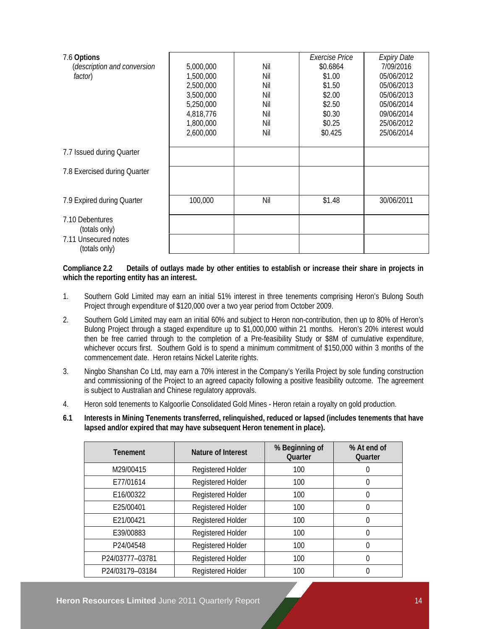| 7.6 Options                  |           |     | Exercise Price | <b>Expiry Date</b> |
|------------------------------|-----------|-----|----------------|--------------------|
| (description and conversion  | 5,000,000 | Nil | \$0.6864       | 7/09/2016          |
| factor)                      | 1,500,000 | Nil | \$1.00         | 05/06/2012         |
|                              | 2,500,000 | Nil | \$1.50         | 05/06/2013         |
|                              | 3,500,000 | Nil | \$2.00         | 05/06/2013         |
|                              | 5,250,000 | Nil | \$2.50         | 05/06/2014         |
|                              | 4,818,776 | Nil | \$0.30         | 09/06/2014         |
|                              | 1,800,000 | Nil | \$0.25         | 25/06/2012         |
|                              | 2,600,000 | Nil | \$0.425        | 25/06/2014         |
|                              |           |     |                |                    |
| 7.7 Issued during Quarter    |           |     |                |                    |
| 7.8 Exercised during Quarter |           |     |                |                    |
|                              |           |     |                |                    |
| 7.9 Expired during Quarter   | 100,000   | Nil | \$1.48         | 30/06/2011         |
|                              |           |     |                |                    |
| 7.10 Debentures              |           |     |                |                    |
| (totals only)                |           |     |                |                    |
| 7.11 Unsecured notes         |           |     |                |                    |
| (totals only)                |           |     |                |                    |

#### **Compliance 2.2 Details of outlays made by other entities to establish or increase their share in projects in which the reporting entity has an interest.**

- 1. Southern Gold Limited may earn an initial 51% interest in three tenements comprising Heron's Bulong South Project through expenditure of \$120,000 over a two year period from October 2009.
- 2. Southern Gold Limited may earn an initial 60% and subject to Heron non-contribution, then up to 80% of Heron's Bulong Project through a staged expenditure up to \$1,000,000 within 21 months. Heron's 20% interest would then be free carried through to the completion of a Pre-feasibility Study or \$8M of cumulative expenditure, whichever occurs first. Southern Gold is to spend a minimum commitment of \$150,000 within 3 months of the commencement date. Heron retains Nickel Laterite rights.
- 3. Ningbo Shanshan Co Ltd, may earn a 70% interest in the Company's Yerilla Project by sole funding construction and commissioning of the Project to an agreed capacity following a positive feasibility outcome. The agreement is subject to Australian and Chinese regulatory approvals.
- 4. Heron sold tenements to Kalgoorlie Consolidated Gold Mines Heron retain a royalty on gold production.
- **6.1 Interests in Mining Tenements transferred, relinquished, reduced or lapsed (includes tenements that have lapsed and/or expired that may have subsequent Heron tenement in place).**

| <b>Tenement</b> | Nature of Interest | % Beginning of<br>Quarter | % At end of<br>Quarter |
|-----------------|--------------------|---------------------------|------------------------|
| M29/00415       | Registered Holder  | 100                       | 0                      |
| E77/01614       | Registered Holder  | 100                       | 0                      |
| E16/00322       | Registered Holder  | 100                       | 0                      |
| E25/00401       | Registered Holder  | 100                       | 0                      |
| E21/00421       | Registered Holder  | 100                       | $\Omega$               |
| E39/00883       | Registered Holder  | 100                       | 0                      |
| P24/04548       | Registered Holder  | 100                       | 0                      |
| P24/03777-03781 | Registered Holder  | 100                       | 0                      |
| P24/03179-03184 | Registered Holder  | 100                       |                        |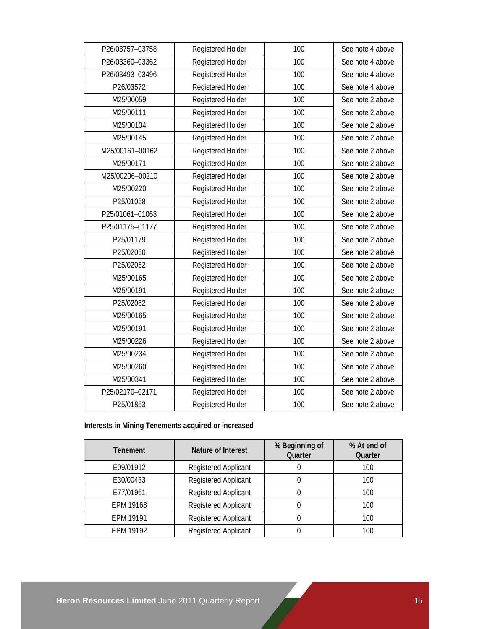| P26/03757-03758 | Registered Holder | 100 | See note 4 above |
|-----------------|-------------------|-----|------------------|
| P26/03360-03362 | Registered Holder | 100 | See note 4 above |
| P26/03493-03496 | Registered Holder | 100 | See note 4 above |
| P26/03572       | Registered Holder | 100 | See note 4 above |
| M25/00059       | Registered Holder | 100 | See note 2 above |
| M25/00111       | Registered Holder | 100 | See note 2 above |
| M25/00134       | Registered Holder | 100 | See note 2 above |
| M25/00145       | Registered Holder | 100 | See note 2 above |
| M25/00161-00162 | Registered Holder | 100 | See note 2 above |
| M25/00171       | Registered Holder | 100 | See note 2 above |
| M25/00206-00210 | Registered Holder | 100 | See note 2 above |
| M25/00220       | Registered Holder | 100 | See note 2 above |
| P25/01058       | Registered Holder | 100 | See note 2 above |
| P25/01061-01063 | Registered Holder | 100 | See note 2 above |
| P25/01175-01177 | Registered Holder | 100 | See note 2 above |
| P25/01179       | Registered Holder | 100 | See note 2 above |
| P25/02050       | Registered Holder | 100 | See note 2 above |
| P25/02062       | Registered Holder | 100 | See note 2 above |
| M25/00165       | Registered Holder | 100 | See note 2 above |
| M25/00191       | Registered Holder | 100 | See note 2 above |
| P25/02062       | Registered Holder | 100 | See note 2 above |
| M25/00165       | Registered Holder | 100 | See note 2 above |
| M25/00191       | Registered Holder | 100 | See note 2 above |
| M25/00226       | Registered Holder | 100 | See note 2 above |
| M25/00234       | Registered Holder | 100 | See note 2 above |
| M25/00260       | Registered Holder | 100 | See note 2 above |
| M25/00341       | Registered Holder | 100 | See note 2 above |
| P25/02170-02171 | Registered Holder | 100 | See note 2 above |
| P25/01853       | Registered Holder | 100 | See note 2 above |

# **Interests in Mining Tenements acquired or increased**

| <b>Tenement</b> | Nature of Interest          | % Beginning of<br>Quarter | % At end of<br>Quarter |
|-----------------|-----------------------------|---------------------------|------------------------|
| E09/01912       | Registered Applicant        |                           | 100                    |
| E30/00433       | Registered Applicant        |                           | 100                    |
| E77/01961       | <b>Registered Applicant</b> |                           | 100                    |
| EPM 19168       | Registered Applicant        |                           | 100                    |
| EPM 19191       | Registered Applicant        |                           | 100                    |
| FPM 19192       | Registered Applicant        |                           | 100                    |